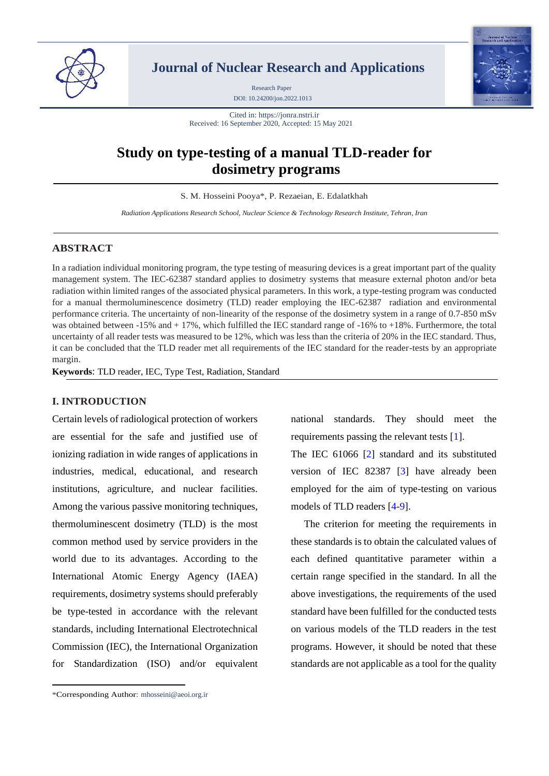

**Journal of Nuclear Research and Applications**

DOI: 10.24200/jon.2022.1013 Research Paper



Cited in: https://jonra.nstri.ir Received: 16 September 2020, Accepted: 15 May 2021

# **Study on type-testing of a manual TLD-reader for dosimetry programs**

S. M. Hosseini Pooya\*, P. Rezaeian, E. Edalatkhah

*Radiation Applications Research School, Nuclear Science & Technology Research Institute, Tehran, Iran*

# **ABSTRACT**

In a radiation individual monitoring program, the type testing of measuring devices is a great important part of the quality management system. The IEC-62387 standard applies to dosimetry systems that measure external photon and/or beta radiation within limited ranges of the associated physical parameters. In this work, a type-testing program was conducted for a manual thermoluminescence dosimetry (TLD) reader employing the IEC-62387 radiation and environmental performance criteria. The uncertainty of non-linearity of the response of the dosimetry system in a range of 0.7-850 mSv was obtained between -15% and +17%, which fulfilled the IEC standard range of -16% to +18%. Furthermore, the total uncertainty of all reader tests was measured to be 12%, which was less than the criteria of 20% in the IEC standard. Thus, it can be concluded that the TLD reader met all requirements of the IEC standard for the reader-tests by an appropriate margin.

**Keywords**: TLD reader, IEC, Type Test, Radiation, Standard

# **I. INTRODUCTION**

Certain levels of radiological protection of workers are essential for the safe and justified use of ionizing radiation in wide ranges of applications in industries, medical, educational, and research institutions, agriculture, and nuclear facilities. Among the various passive monitoring techniques, thermoluminescent dosimetry (TLD) is the most common method used by service providers in the world due to its advantages. According to the International Atomic Energy Agency (IAEA) requirements, dosimetry systems should preferably be type-tested in accordance with the relevant standards, including International Electrotechnical Commission (IEC), the International Organization for Standardization (ISO) and/or equivalent national standards. They should meet the requirements passing the relevant tests [\[1\]](#page-6-0).

The IEC 61066 [\[2\]](#page-6-1) standard and its substituted version of IEC 82387 [\[3\]](#page-6-2) have already been employed for the aim of type-testing on various models of TLD readers [\[4](#page-6-3)[-9\]](#page-6-4).

The criterion for meeting the requirements in these standards is to obtain the calculated values of each defined quantitative parameter within a certain range specified in the standard. In all the above investigations, the requirements of the used standard have been fulfilled for the conducted tests on various models of the TLD readers in the test programs. However, it should be noted that these standards are not applicable as a tool for the quality

<sup>\*</sup>Corresponding Author: mhosseini@aeoi.org.ir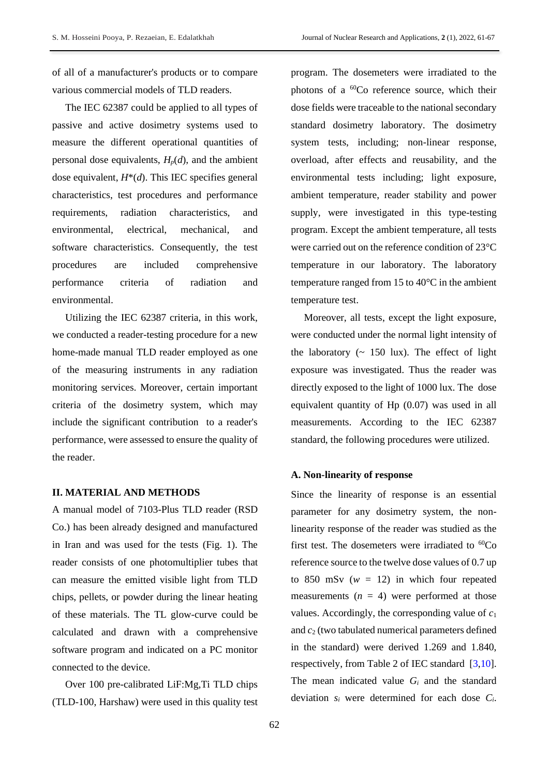of all of a manufacturer's products or to compare various commercial models of TLD readers.

The IEC 62387 could be applied to all types of passive and active dosimetry systems used to measure the different operational quantities of personal dose equivalents,  $H_p(d)$ , and the ambient dose equivalent, *H*\*(*d*). This IEC specifies general characteristics, test procedures and performance requirements, radiation characteristics, and environmental, electrical, mechanical, and software characteristics. Consequently, the test procedures are included comprehensive performance criteria of radiation and environmental.

Utilizing the IEC 62387 criteria, in this work, we conducted a reader-testing procedure for a new home-made manual TLD reader employed as one of the measuring instruments in any radiation monitoring services. Moreover, certain important criteria of the dosimetry system, which may include the significant contribution to a reader's performance, were assessed to ensure the quality of the reader.

# **II. MATERIAL AND METHODS**

A manual model of 7103-Plus TLD reader (RSD Co.) has been already designed and manufactured in Iran and was used for the tests (Fig. 1). The reader consists of one photomultiplier tubes that can measure the emitted visible light from TLD chips, pellets, or powder during the linear heating of these materials. The TL glow-curve could be calculated and drawn with a comprehensive software program and indicated on a PC monitor connected to the device.

Over 100 pre-calibrated LiF:Mg,Ti TLD chips (TLD-100, Harshaw) were used in this quality test program. The dosemeters were irradiated to the photons of a <sup>60</sup>Co reference source, which their dose fields were traceable to the national secondary standard dosimetry laboratory. The dosimetry system tests, including; non-linear response, overload, after effects and reusability, and the environmental tests including; light exposure, ambient temperature, reader stability and power supply, were investigated in this type-testing program. Except the ambient temperature, all tests were carried out on the reference condition of 23°C temperature in our laboratory. The laboratory temperature ranged from 15 to 40°C in the ambient temperature test.

Moreover, all tests, except the light exposure, were conducted under the normal light intensity of the laboratory  $($   $\sim$  150 lux). The effect of light exposure was investigated. Thus the reader was directly exposed to the light of 1000 lux. The dose equivalent quantity of Hp (0.07) was used in all measurements. According to the IEC 62387 standard, the following procedures were utilized.

### **A. Non-linearity of response**

Since the linearity of response is an essential parameter for any dosimetry system, the nonlinearity response of the reader was studied as the first test. The dosemeters were irradiated to  ${}^{60}Co$ reference source to the twelve dose values of 0.7 up to 850 mSv  $(w = 12)$  in which four repeated measurements  $(n = 4)$  were performed at those values. Accordingly, the corresponding value of *c*<sup>1</sup> and *c*<sup>2</sup> (two tabulated numerical parameters defined in the standard) were derived 1.269 and 1.840, respectively, from Table 2 of IEC standard [\[3,](#page-6-2)[10\]](#page-6-5). The mean indicated value *G<sup>i</sup>* and the standard deviation *s<sup>i</sup>* were determined for each dose *Ci*.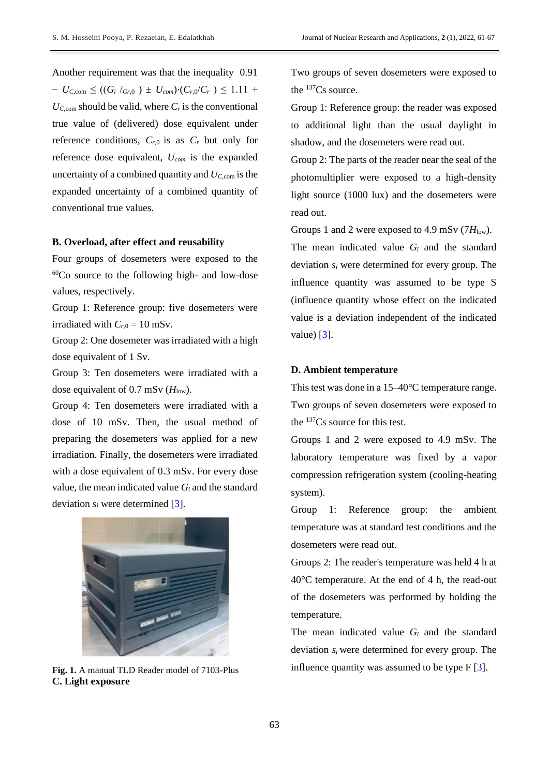Another requirement was that the inequality 0.91  $-U_{C,com} \leq ((G_i /_{Gr,0}) \pm U_{com}) \cdot (C_{r,0} / C_r) \leq 1.11 +$  $U_{C,con}$  should be valid, where  $C_r$  is the conventional true value of (delivered) dose equivalent under reference conditions,  $C_{r,0}$  is as  $C_r$  but only for reference dose equivalent, *Ucom* is the expanded uncertainty of a combined quantity and *UC,*com is the expanded uncertainty of a combined quantity of conventional true values.

# **B. Overload, after effect and reusability**

Four groups of dosemeters were exposed to the  $60Co$  source to the following high- and low-dose values, respectively.

Group 1: Reference group: five dosemeters were irradiated with  $C_{r,0} = 10$  mSv.

Group 2: One dosemeter was irradiated with a high dose equivalent of 1 Sv.

Group 3: Ten dosemeters were irradiated with a dose equivalent of 0.7 mSv ( $H_{low}$ ).

Group 4: Ten dosemeters were irradiated with a dose of 10 mSv. Then, the usual method of preparing the dosemeters was applied for a new irradiation. Finally, the dosemeters were irradiated with a dose equivalent of 0.3 mSv. For every dose value, the mean indicated value  $G_i$  and the standard deviation *s<sup>i</sup>* were determined [\[3\]](#page-6-2).



**Fig. 1.** A manual TLD Reader model of 7103-Plus **C. Light exposure** 

Two groups of seven dosemeters were exposed to the  $137Cs$  source.

Group 1: Reference group: the reader was exposed to additional light than the usual daylight in shadow, and the dosemeters were read out.

Group 2: The parts of the reader near the seal of the photomultiplier were exposed to a high-density light source (1000 lux) and the dosemeters were read out.

Groups 1 and 2 were exposed to 4.9 mSv  $(7H_{low})$ .

The mean indicated value *G<sup>i</sup>* and the standard deviation *s<sup>i</sup>* were determined for every group. The influence quantity was assumed to be type S (influence quantity whose effect on the indicated value is a deviation independent of the indicated value) [\[3\]](#page-6-2).

### **D. Ambient temperature**

This test was done in a 15–40°C temperature range. Two groups of seven dosemeters were exposed to the <sup>137</sup>Cs source for this test.

Groups 1 and 2 were exposed to 4.9 mSv. The laboratory temperature was fixed by a vapor compression refrigeration system (cooling-heating system).

Group 1: Reference group: the ambient temperature was at standard test conditions and the dosemeters were read out.

Groups 2: The reader's temperature was held 4 h at 40°C temperature. At the end of 4 h, the read-out of the dosemeters was performed by holding the temperature.

The mean indicated value *G<sup>i</sup>* and the standard deviation *s<sup>i</sup>* were determined for every group. The influence quantity was assumed to be type  $F[3]$  $F[3]$ .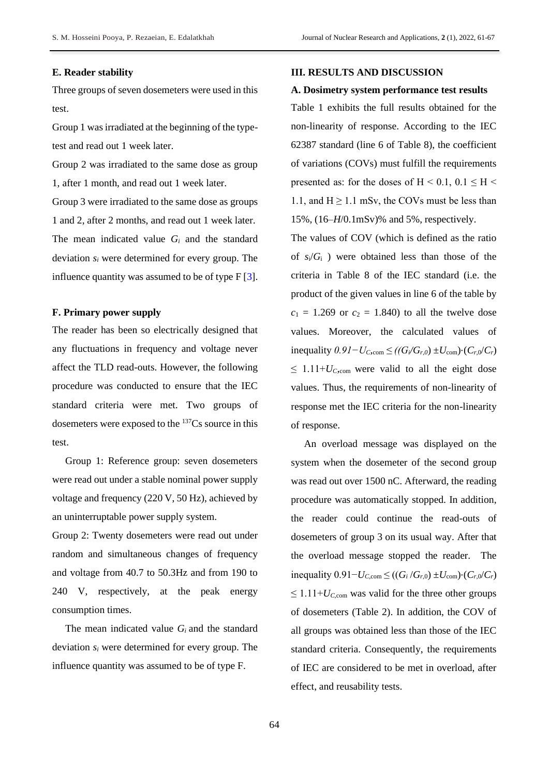### **E. Reader stability**

Three groups of seven dosemeters were used in this test.

Group 1 was irradiated at the beginning of the typetest and read out 1 week later.

Group 2 was irradiated to the same dose as group 1, after 1 month, and read out 1 week later.

Group 3 were irradiated to the same dose as groups 1 and 2, after 2 months, and read out 1 week later. The mean indicated value *G<sup>i</sup>* and the standard deviation *s<sup>i</sup>* were determined for every group. The influence quantity was assumed to be of type  $F[3]$  $F[3]$ .

# **F. Primary power supply**

The reader has been so electrically designed that any fluctuations in frequency and voltage never affect the TLD read-outs. However, the following procedure was conducted to ensure that the IEC standard criteria were met. Two groups of dosemeters were exposed to the <sup>137</sup>Cs source in this test.

Group 1: Reference group: seven dosemeters were read out under a stable nominal power supply voltage and frequency (220 V, 50 Hz), achieved by an uninterruptable power supply system.

Group 2: Twenty dosemeters were read out under random and simultaneous changes of frequency and voltage from 40.7 to 50.3Hz and from 190 to 240 V, respectively, at the peak energy consumption times.

The mean indicated value *G<sup>i</sup>* and the standard deviation *s<sup>i</sup>* were determined for every group. The influence quantity was assumed to be of type F.

### **III. RESULTS AND DISCUSSION**

### **A. Dosimetry system performance test results**

Table 1 exhibits the full results obtained for the non-linearity of response. According to the IEC 62387 standard (line 6 of Table 8), the coefficient of variations (COVs) must fulfill the requirements presented as: for the doses of  $H < 0.1$ ,  $0.1 \leq H <$ 1.1, and  $H \ge 1.1$  mSv, the COVs must be less than 15%, (16–*H*/0.1mSv)% and 5%, respectively.

The values of COV (which is defined as the ratio of  $s_i/G_i$ ) were obtained less than those of the criteria in Table 8 of the IEC standard (i.e. the product of the given values in line 6 of the table by  $c_1 = 1.269$  or  $c_2 = 1.840$ ) to all the twelve dose values. Moreover, the calculated values of inequality *0.91−UC,*com *≤ ((Gi/Gr,0*) ±*U*com)⋅(*Cr*,0/*Cr*)  $\leq 1.11+U_{C<sub>com</sub>}$  were valid to all the eight dose values. Thus, the requirements of non-linearity of response met the IEC criteria for the non-linearity of response.

An overload message was displayed on the system when the dosemeter of the second group was read out over 1500 nC. Afterward, the reading procedure was automatically stopped. In addition, the reader could continue the read-outs of dosemeters of group 3 on its usual way. After that the overload message stopped the reader. The  $i$ nequality  $0.91 - U_{C,com}$  ≤ (( $G_i/G_{r,0}$ ) ± $U_{com}$ )⋅( $C_{r,0}/C_r$ )  $\leq 1.11+U_{C,com}$  was valid for the three other groups of dosemeters (Table 2). In addition, the COV of all groups was obtained less than those of the IEC standard criteria. Consequently, the requirements of IEC are considered to be met in overload, after effect, and reusability tests.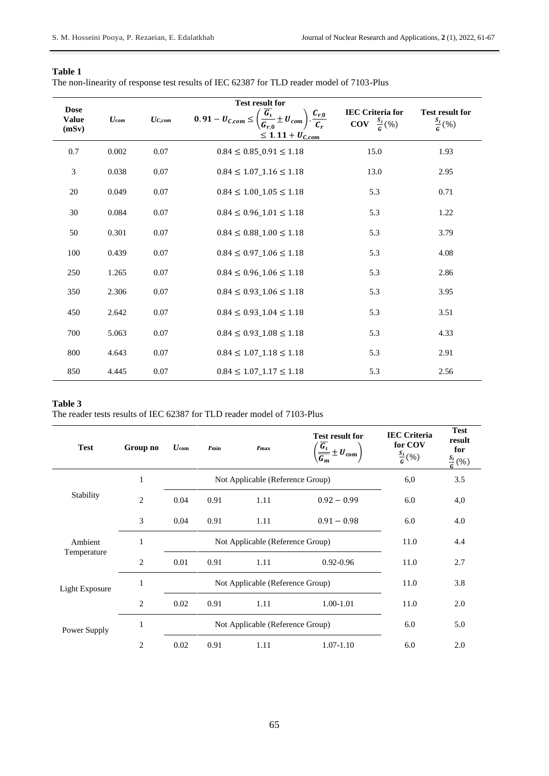| וחו<br>ഄ<br>ı |  |
|---------------|--|
|               |  |

| The non-linearity of response test results of IEC 62387 for TLD reader model of 7103-Plus |  |  |  |  |  |  |
|-------------------------------------------------------------------------------------------|--|--|--|--|--|--|
|                                                                                           |  |  |  |  |  |  |

|                                      | <b>Test result for</b> |             |                                                                                                          |                                                                   |                                               |  |  |  |
|--------------------------------------|------------------------|-------------|----------------------------------------------------------------------------------------------------------|-------------------------------------------------------------------|-----------------------------------------------|--|--|--|
| <b>Dose</b><br><b>Value</b><br>(mSv) | $U_{com}$              | $U_{C,com}$ | $0.91 - U_{C,com} \leq \left(\frac{\overline{G_i}}{G_{r,0}} \pm U_{com}\right)$<br>$\frac{C_{r,0}}{C_r}$ | <b>IEC Criteria for</b><br>$\mathrm{COV} \quad \frac{S_i}{G}(\%)$ | <b>Test result for</b><br>$\frac{S_i}{G}(\%)$ |  |  |  |
|                                      |                        |             | $\leq 1.11 + U_{C,com}$                                                                                  |                                                                   |                                               |  |  |  |
| 0.7                                  | 0.002                  | 0.07        | $0.84 \leq 0.85$ $0.91 \leq 1.18$                                                                        | 15.0                                                              | 1.93                                          |  |  |  |
| 3                                    | 0.038                  | 0.07        | $0.84 \le 1.07$ <sub>-1.16</sub> $\le 1.18$                                                              | 13.0                                                              | 2.95                                          |  |  |  |
| 20                                   | 0.049                  | 0.07        | $0.84 \le 1.00$ <sub>-1.05</sub> $\le 1.18$                                                              | 5.3                                                               | 0.71                                          |  |  |  |
| $30\,$                               | 0.084                  | 0.07        | $0.84 \le 0.96$ <sub>-1.01</sub> $\le 1.18$                                                              | 5.3                                                               | 1.22                                          |  |  |  |
| 50                                   | 0.301                  | 0.07        | $0.84 \leq 0.88$ <sub>-1.00</sub> $\leq 1.18$                                                            | 5.3                                                               | 3.79                                          |  |  |  |
| 100                                  | 0.439                  | 0.07        | $0.84 \le 0.97$ <sub>-1.06</sub> $\le 1.18$                                                              | 5.3                                                               | 4.08                                          |  |  |  |
| 250                                  | 1.265                  | 0.07        | $0.84 \le 0.96$ <sub>-1.06</sub> $\le 1.18$                                                              | 5.3                                                               | 2.86                                          |  |  |  |
| 350                                  | 2.306                  | $0.07\,$    | $0.84 \le 0.93$ <sub>-1.06</sub> $\le 1.18$                                                              | 5.3                                                               | 3.95                                          |  |  |  |
| 450                                  | 2.642                  | 0.07        | $0.84 \le 0.93$ <sub>-1.04</sub> $\le 1.18$                                                              | 5.3                                                               | 3.51                                          |  |  |  |
| 700                                  | 5.063                  | 0.07        | $0.84 \le 0.93$ <sub>-1.08</sub> $\le 1.18$                                                              | 5.3                                                               | 4.33                                          |  |  |  |
| 800                                  | 4.643                  | 0.07        | $0.84 \le 1.07$ <sub>-1.18</sub> $\le 1.18$                                                              | 5.3                                                               | 2.91                                          |  |  |  |
| 850                                  | 4.445                  | 0.07        | $0.84 \le 1.07$ <sub>-1.17</sub> $\le 1.18$                                                              | 5.3                                                               | 2.56                                          |  |  |  |

# **Table 3**

The reader tests results of IEC 62387 for TLD reader model of 7103-Plus

| <b>Test</b>            | Group no       | $U_{\rm com}$ | $r_{\min}$                       | $r_{\rm max}$                    | <b>Test result for</b><br>$\left(\frac{\overline{G_t}}{\overline{G_m}} \pm U_{\text{com}}\right)$ | <b>IEC Criteria</b><br>for COV<br>$\frac{S_i}{G}(\%)$ | <b>Test</b><br>result<br>for<br>$\frac{S_i}{G}(\%)$ |
|------------------------|----------------|---------------|----------------------------------|----------------------------------|---------------------------------------------------------------------------------------------------|-------------------------------------------------------|-----------------------------------------------------|
|                        | $\mathbf{1}$   |               |                                  | Not Applicable (Reference Group) |                                                                                                   | 6,0                                                   | 3.5                                                 |
| Stability              | $\overline{2}$ | 0.04          | 0.91                             | 1.11                             | $0.92 - 0.99$                                                                                     | 6.0                                                   | 4,0                                                 |
|                        | 3              | 0.04          | 0.91                             | 1.11                             | $0.91 - 0.98$                                                                                     | 6.0                                                   | 4.0                                                 |
| Ambient<br>Temperature | 1              |               | Not Applicable (Reference Group) | 11.0                             | 4.4                                                                                               |                                                       |                                                     |
|                        | 2              | 0.01          | 0.91                             | 1.11                             | $0.92 - 0.96$                                                                                     | 11.0                                                  | 2.7                                                 |
| <b>Light Exposure</b>  | 1              |               |                                  | Not Applicable (Reference Group) |                                                                                                   | 11.0                                                  | 3.8                                                 |
|                        | 2              | 0.02          | 0.91                             | 1.11                             | 1.00-1.01                                                                                         | 11.0                                                  | 2.0                                                 |
| Power Supply           | 1              |               |                                  | Not Applicable (Reference Group) |                                                                                                   | 6.0                                                   | 5.0                                                 |
|                        | $\overline{2}$ | 0.02          | 0.91                             | 1.11                             | $1.07 - 1.10$                                                                                     | 6.0                                                   | 2.0                                                 |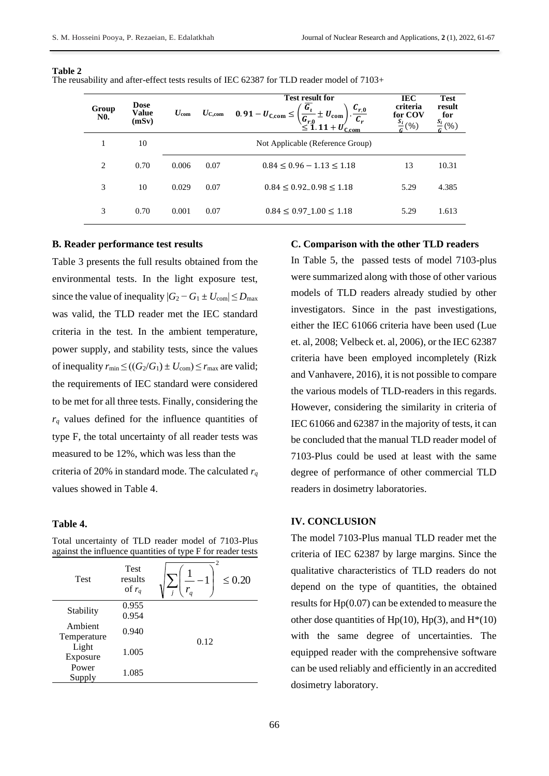| Group<br><b>N0.</b> | <b>Dose</b><br><b>Value</b><br>(mSv) | $U_{\rm com}$ | $U_{\rm C, com}$ | <b>Test result for</b><br>$\overline{G_{\iota}}$<br>$c_{r,0}$<br>$0.91-U_{C,com} \leq$<br>$+$ $U_{\rm com}$ ,<br>$\sqrt{\frac{G_{r,0}}{\leq 1.11 + U'_{\text{C,com}}}}$ | IEC<br>criteria<br>for COV<br>$\frac{S_i}{c}(96)$ | <b>Test</b><br>result<br>for<br>(%) |
|---------------------|--------------------------------------|---------------|------------------|-------------------------------------------------------------------------------------------------------------------------------------------------------------------------|---------------------------------------------------|-------------------------------------|
| 1                   | 10                                   |               |                  | Not Applicable (Reference Group)                                                                                                                                        |                                                   |                                     |
| 2                   | 0.70                                 | 0.006         | 0.07             | $0.84 \leq 0.96 - 1.13 \leq 1.18$                                                                                                                                       | 13                                                | 10.31                               |
| 3                   | 10                                   | 0.029         | 0.07             | $0.84 \leq 0.92 - 0.98 \leq 1.18$                                                                                                                                       | 5.29                                              | 4.385                               |
| 3                   | 0.70                                 | 0.001         | 0.07             | $0.84 \le 0.97$ $1.00 \le 1.18$                                                                                                                                         | 5.29                                              | 1.613                               |

#### **Table 2**

The reusability and after-effect tests results of IEC 62387 for TLD reader model of 7103+

# **B. Reader performance test results**

Table 3 presents the full results obtained from the environmental tests. In the light exposure test, since the value of inequality  $|G_2 - G_1 \pm U_{\text{com}}| \le D_{\text{max}}$ was valid, the TLD reader met the IEC standard criteria in the test. In the ambient temperature, power supply, and stability tests, since the values of inequality  $r_{\min} \le ((G_2/G_1) \pm U_{\text{com}}) \le r_{\max}$  are valid; the requirements of IEC standard were considered to be met for all three tests. Finally, considering the  $r_q$  values defined for the influence quantities of type F, the total uncertainty of all reader tests was measured to be 12%, which was less than the criteria of 20% in standard mode. The calculated *r<sup>q</sup>* values showed in Table 4.

# **Table 4.**

Total uncertainty of TLD reader model of 7103-Plus against the influence quantities of type F for reader tests

| <b>Test</b>            | <b>Test</b><br>results<br>of $r_q$ | 2<br>$\leq 0.20$<br>$r_q$ |
|------------------------|------------------------------------|---------------------------|
| Stability              | 0.955<br>0.954                     |                           |
| Ambient<br>Temperature | 0.940                              | 0.12                      |
| Light<br>Exposure      | 1.005                              |                           |
| Power<br>Supply        | 1.085                              |                           |

### **C. Comparison with the other TLD readers**

In Table 5, the passed tests of model 7103-plus were summarized along with those of other various models of TLD readers already studied by other investigators. Since in the past investigations, either the IEC 61066 criteria have been used (Lue et. al, 2008; Velbeck et. al, 2006), or the IEC 62387 criteria have been employed incompletely (Rizk and Vanhavere, 2016), it is not possible to compare the various models of TLD-readers in this regards. However, considering the similarity in criteria of IEC 61066 and 62387 in the majority of tests, it can be concluded that the manual TLD reader model of 7103-Plus could be used at least with the same degree of performance of other commercial TLD readers in dosimetry laboratories.

# **IV. CONCLUSION**

The model 7103-Plus manual TLD reader met the criteria of IEC 62387 by large margins. Since the qualitative characteristics of TLD readers do not depend on the type of quantities, the obtained results for Hp(0.07) can be extended to measure the other dose quantities of  $Hp(10)$ ,  $Hp(3)$ , and  $H^{*}(10)$ with the same degree of uncertainties. The equipped reader with the comprehensive software can be used reliably and efficiently in an accredited dosimetry laboratory.